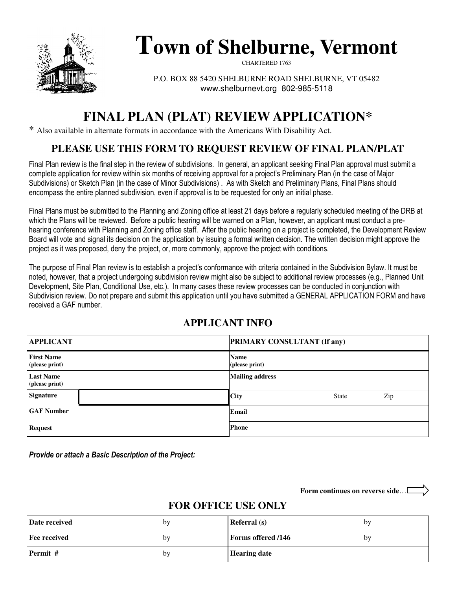

# **Town of Shelburne, Vermont**

CHARTERED 1763

P.O. BOX 88 5420 SHELBURNE ROAD SHELBURNE, VT 05482 www.shelburnevt.org 802-985-5118

## **FINAL PLAN (PLAT) REVIEW APPLICATION\***

\* Also available in alternate formats in accordance with the Americans With Disability Act.

## **PLEASE USE THIS FORM TO REQUEST REVIEW OF FINAL PLAN/PLAT**

Final Plan review is the final step in the review of subdivisions. In general, an applicant seeking Final Plan approval must submit a complete application for review within six months of receiving approval for a project's Preliminary Plan (in the case of Major Subdivisions) or Sketch Plan (in the case of Minor Subdivisions) . As with Sketch and Preliminary Plans, Final Plans should encompass the entire planned subdivision, even if approval is to be requested for only an initial phase.

Final Plans must be submitted to the Planning and Zoning office at least 21 days before a regularly scheduled meeting of the DRB at which the Plans will be reviewed. Before a public hearing will be warned on a Plan, however, an applicant must conduct a prehearing conference with Planning and Zoning office staff. After the public hearing on a project is completed, the Development Review Board will vote and signal its decision on the application by issuing a formal written decision. The written decision might approve the project as it was proposed, deny the project, or, more commonly, approve the project with conditions.

The purpose of Final Plan review is to establish a project's conformance with criteria contained in the Subdivision Bylaw. It must be noted, however, that a project undergoing subdivision review might also be subject to additional review processes (e.g., Planned Unit Development, Site Plan, Conditional Use, etc.). In many cases these review processes can be conducted in conjunction with Subdivision review. Do not prepare and submit this application until you have submitted a GENERAL APPLICATION FORM and have received a GAF number.

#### **APPLICANT INFO**

| <b>APPLICANT</b>                    | <b>PRIMARY CONSULTANT (If any)</b> |  |  |
|-------------------------------------|------------------------------------|--|--|
| <b>First Name</b><br>(please print) | <b>Name</b><br>(please print)      |  |  |
| <b>Last Name</b><br>(please print)  | <b>Mailing address</b>             |  |  |
| <b>Signature</b>                    | City<br>Zip<br><b>State</b>        |  |  |
| <b>GAF Number</b>                   | Email                              |  |  |
| <b>Request</b>                      | <b>Phone</b>                       |  |  |

Provide or attach a Basic Description of the Project:

**Form continues on reverse side**…

#### **FOR OFFICE USE ONLY**

| Date received | by | <b>Referral</b> (s)       | bv |
|---------------|----|---------------------------|----|
| Fee received  | bv | <b>Forms offered /146</b> | bv |
| Permit #      | by | <b>Hearing date</b>       |    |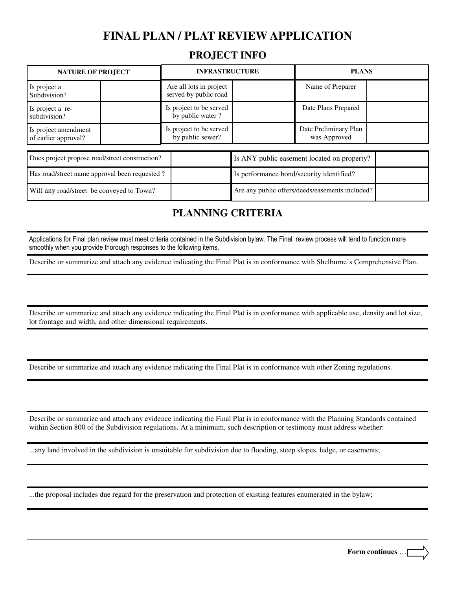#### **PROJECT INFO**

| <b>NATURE OF PROJECT</b>                     |  | <b>INFRASTRUCTURE</b>                            |  | <b>PLANS</b>                          |  |
|----------------------------------------------|--|--------------------------------------------------|--|---------------------------------------|--|
| Is project a<br>Subdivision?                 |  | Are all lots in project<br>served by public road |  | Name of Preparer                      |  |
| Is project a re-<br>subdivision?             |  | Is project to be served<br>by public water?      |  | Date Plans Prepared                   |  |
| Is project amendment<br>of earlier approval? |  | Is project to be served<br>by public sewer?      |  | Date Preliminary Plan<br>was Approved |  |

| Does project propose road/street construction? | Is ANY public easement located on property?     |  |
|------------------------------------------------|-------------------------------------------------|--|
| Has road/street name approval been requested?  | Is performance bond/security identified?        |  |
| Will any road/street be conveyed to Town?      | Are any public offers/deeds/easements included? |  |

#### **PLANNING CRITERIA**

Applications for Final plan review must meet criteria contained in the Subdivision bylaw. The Final review process will tend to function more smoothly when you provide thorough responses to the following items.

Describe or summarize and attach any evidence indicating the Final Plat is in conformance with Shelburne's Comprehensive Plan.

Describe or summarize and attach any evidence indicating the Final Plat is in conformance with applicable use, density and lot size, lot frontage and width, and other dimensional requirements.

Describe or summarize and attach any evidence indicating the Final Plat is in conformance with other Zoning regulations.

Describe or summarize and attach any evidence indicating the Final Plat is in conformance with the Planning Standards contained within Section 800 of the Subdivision regulations. At a minimum, such description or testimony must address whether:

...any land involved in the subdivision is unsuitable for subdivision due to flooding, steep slopes, ledge, or easements;

...the proposal includes due regard for the preservation and protection of existing features enumerated in the bylaw;

**Form continues** …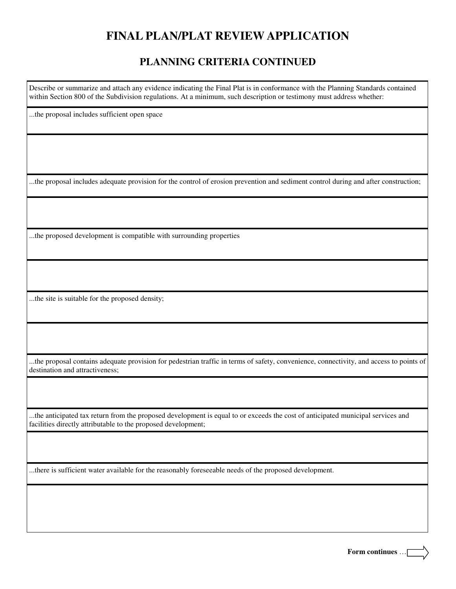#### **PLANNING CRITERIA CONTINUED**

Describe or summarize and attach any evidence indicating the Final Plat is in conformance with the Planning Standards contained within Section 800 of the Subdivision regulations. At a minimum, such description or testimony must address whether:

...the proposal includes sufficient open space

...the proposal includes adequate provision for the control of erosion prevention and sediment control during and after construction;

...the proposed development is compatible with surrounding properties

...the site is suitable for the proposed density;

...the proposal contains adequate provision for pedestrian traffic in terms of safety, convenience, connectivity, and access to points of destination and attractiveness;

...the anticipated tax return from the proposed development is equal to or exceeds the cost of anticipated municipal services and facilities directly attributable to the proposed development;

...there is sufficient water available for the reasonably foreseeable needs of the proposed development.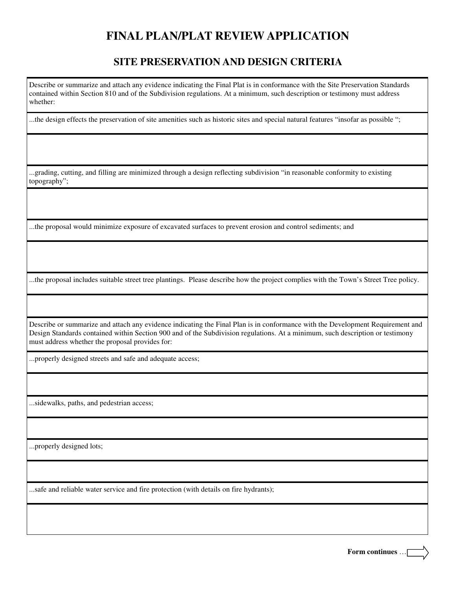#### **SITE PRESERVATION AND DESIGN CRITERIA**

Describe or summarize and attach any evidence indicating the Final Plat is in conformance with the Site Preservation Standards contained within Section 810 and of the Subdivision regulations. At a minimum, such description or testimony must address whether:

...the design effects the preservation of site amenities such as historic sites and special natural features "insofar as possible ";

...grading, cutting, and filling are minimized through a design reflecting subdivision "in reasonable conformity to existing topography";

...the proposal would minimize exposure of excavated surfaces to prevent erosion and control sediments; and

...the proposal includes suitable street tree plantings. Please describe how the project complies with the Town's Street Tree policy.

Describe or summarize and attach any evidence indicating the Final Plan is in conformance with the Development Requirement and Design Standards contained within Section 900 and of the Subdivision regulations. At a minimum, such description or testimony must address whether the proposal provides for:

...properly designed streets and safe and adequate access;

...sidewalks, paths, and pedestrian access;

...properly designed lots;

...safe and reliable water service and fire protection (with details on fire hydrants);

**Form continues** …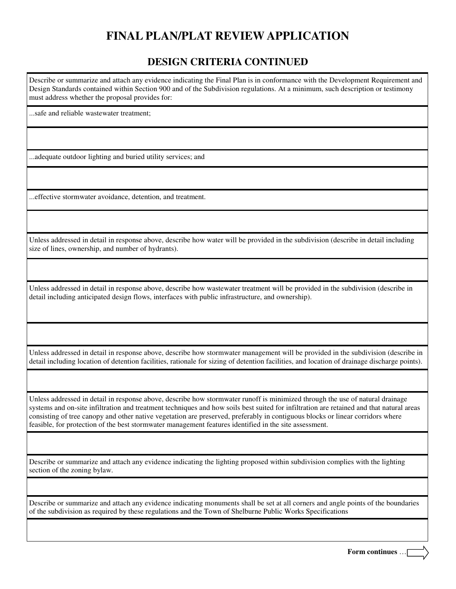#### **DESIGN CRITERIA CONTINUED**

Describe or summarize and attach any evidence indicating the Final Plan is in conformance with the Development Requirement and Design Standards contained within Section 900 and of the Subdivision regulations. At a minimum, such description or testimony must address whether the proposal provides for:

...safe and reliable wastewater treatment;

...adequate outdoor lighting and buried utility services; and

...effective stormwater avoidance, detention, and treatment.

Unless addressed in detail in response above, describe how water will be provided in the subdivision (describe in detail including size of lines, ownership, and number of hydrants).

Unless addressed in detail in response above, describe how wastewater treatment will be provided in the subdivision (describe in detail including anticipated design flows, interfaces with public infrastructure, and ownership).

Unless addressed in detail in response above, describe how stormwater management will be provided in the subdivision (describe in detail including location of detention facilities, rationale for sizing of detention facilities, and location of drainage discharge points).

Unless addressed in detail in response above, describe how stormwater runoff is minimized through the use of natural drainage systems and on-site infiltration and treatment techniques and how soils best suited for infiltration are retained and that natural areas consisting of tree canopy and other native vegetation are preserved, preferably in contiguous blocks or linear corridors where feasible, for protection of the best stormwater management features identified in the site assessment.

Describe or summarize and attach any evidence indicating the lighting proposed within subdivision complies with the lighting section of the zoning bylaw.

Describe or summarize and attach any evidence indicating monuments shall be set at all corners and angle points of the boundaries of the subdivision as required by these regulations and the Town of Shelburne Public Works Specifications

**Form continues** …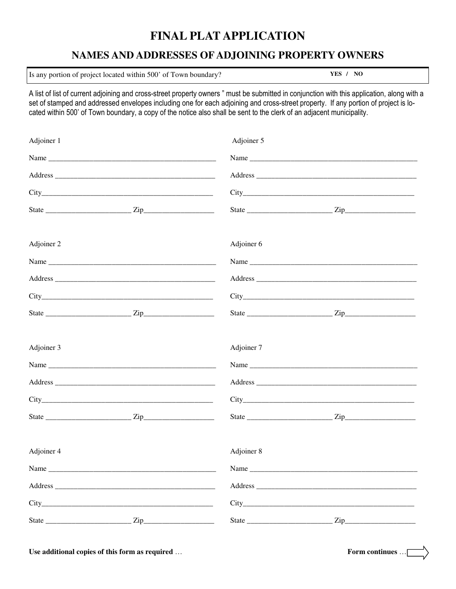## **FINAL PLAT APPLICATION**

#### **NAMES AND ADDRESSES OF ADJOINING PROPERTY OWNERS**

Is any portion of project located within 500' of Town boundary? **YES / NO** 

A list of list of current adjoining and cross-street property owners " must be submitted in conjunction with this application, along with a set of stamped and addressed envelopes including one for each adjoining and cross-street property. If any portion of project is located within 500' of Town boundary, a copy of the notice also shall be sent to the clerk of an adjacent municipality.

| Adjoiner 1 | Adjoiner 5 |      |  |
|------------|------------|------|--|
|            |            |      |  |
|            |            |      |  |
|            |            |      |  |
|            |            |      |  |
| Adjoiner 2 | Adjoiner 6 |      |  |
|            |            | Name |  |
|            |            |      |  |
|            |            |      |  |
|            |            |      |  |
| Adjoiner 3 | Adjoiner 7 |      |  |
|            |            |      |  |
|            |            |      |  |
|            |            |      |  |
|            |            |      |  |
| Adjoiner 4 | Adjoiner 8 |      |  |
| Name       | Name       |      |  |
|            |            |      |  |
|            |            |      |  |
|            |            |      |  |

**Use additional copies of this form as required** … **Form continues** …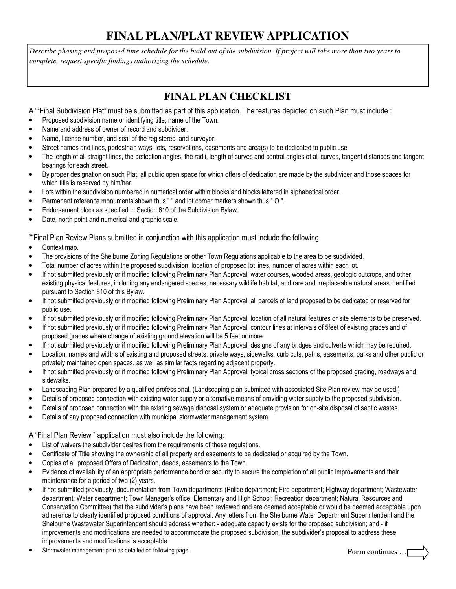*Describe phasing and proposed time schedule for the build out of the subdivision. If project will take more than two years to complete, request specific findings authorizing the schedule.* 

#### **FINAL PLAN CHECKLIST**

A ""Final Subdivision Plat" must be submitted as part of this application. The features depicted on such Plan must include :

- Proposed subdivision name or identifying title, name of the Town.
- Name and address of owner of record and subdivider.
- Name, license number, and seal of the registered land surveyor.
- Street names and lines, pedestrian ways, lots, reservations, easements and area(s) to be dedicated to public use
- The length of all straight lines, the deflection angles, the radii, length of curves and central angles of all curves, tangent distances and tangent bearings for each street.
- By proper designation on such Plat, all public open space for which offers of dedication are made by the subdivider and those spaces for which title is reserved by him/her.
- Lots within the subdivision numbered in numerical order within blocks and blocks lettered in alphabetical order.
- Permanent reference monuments shown thus " " and lot corner markers shown thus " O ".
- Endorsement block as specified in Section 610 of the Subdivision Bylaw.
- Date, north point and numerical and graphic scale.

""Final Plan Review Plans submitted in conjunction with this application must include the following

- Context map.
- The provisions of the Shelburne Zoning Regulations or other Town Regulations applicable to the area to be subdivided.
- Total number of acres within the proposed subdivision, location of proposed lot lines, number of acres within each lot.
- If not submitted previously or if modified following Preliminary Plan Approval, water courses, wooded areas, geologic outcrops, and other existing physical features, including any endangered species, necessary wildlife habitat, and rare and irreplaceable natural areas identified pursuant to Section 810 of this Bylaw.
- If not submitted previously or if modified following Preliminary Plan Approval, all parcels of land proposed to be dedicated or reserved for public use.
- If not submitted previously or if modified following Preliminary Plan Approval, location of all natural features or site elements to be preserved.
- If not submitted previously or if modified following Preliminary Plan Approval, contour lines at intervals of 5feet of existing grades and of proposed grades where change of existing ground elevation will be 5 feet or more.
- If not submitted previously or if modified following Preliminary Plan Approval, designs of any bridges and culverts which may be required.
- Location, names and widths of existing and proposed streets, private ways, sidewalks, curb cuts, paths, easements, parks and other public or privately maintained open spaces, as well as similar facts regarding adjacent property.
- If not submitted previously or if modified following Preliminary Plan Approval, typical cross sections of the proposed grading, roadways and sidewalks.
- Landscaping Plan prepared by a qualified professional. (Landscaping plan submitted with associated Site Plan review may be used.)
- Details of proposed connection with existing water supply or alternative means of providing water supply to the proposed subdivision.
- Details of proposed connection with the existing sewage disposal system or adequate provision for on-site disposal of septic wastes.
- Details of any proposed connection with municipal stormwater management system.

A "Final Plan Review " application must also include the following:

- List of waivers the subdivider desires from the requirements of these regulations.
- Certificate of Title showing the ownership of all property and easements to be dedicated or acquired by the Town.
- Copies of all proposed Offers of Dedication, deeds, easements to the Town.
- Evidence of availability of an appropriate performance bond or security to secure the completion of all public improvements and their maintenance for a period of two (2) years.
- If not submitted previously, documentation from Town departments (Police department; Fire department; Highway department; Wastewater department; Water department; Town Manager's office; Elementary and High School; Recreation department; Natural Resources and Conservation Committee) that the subdivider's plans have been reviewed and are deemed acceptable or would be deemed acceptable upon adherence to clearly identified proposed conditions of approval. Any letters from the Shelburne Water Department Superintendent and the Shelburne Wastewater Superintendent should address whether: - adequate capacity exists for the proposed subdivision; and - if improvements and modifications are needed to accommodate the proposed subdivision, the subdivider's proposal to address these improvements and modifications is acceptable.
- Stormwater management plan as detailed on following page. **Form continues** …